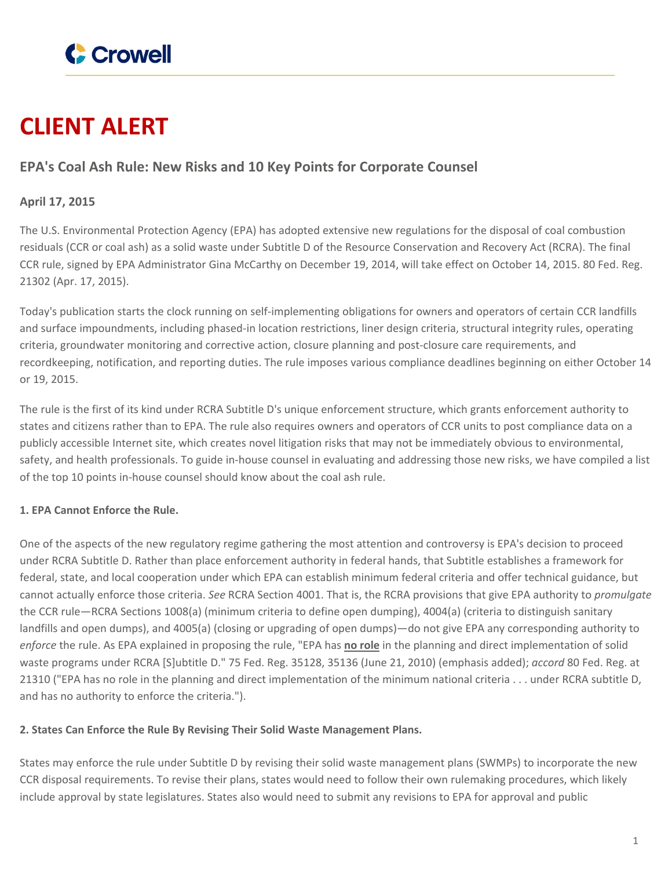

# **CLIENT ALERT**

## **EPA's Coal Ash Rule: New Risks and 10 Key Points for Corporate Counsel**

## **April 17, 2015**

The U.S. Environmental Protection Agency (EPA) has adopted extensive new regulations for the disposal of coal combustion residuals (CCR or coal ash) as a solid waste under Subtitle D of the Resource Conservation and Recovery Act (RCRA). The final CCR rule, signed by EPA Administrator Gina McCarthy on December 19, 2014, will take effect on October 14, 2015. 80 Fed. Reg. 21302 (Apr. 17, 2015).

Today's publication starts the clock running on self-implementing obligations for owners and operators of certain CCR landfills and surface impoundments, including phased-in location restrictions, liner design criteria, structural integrity rules, operating criteria, groundwater monitoring and corrective action, closure planning and post-closure care requirements, and recordkeeping, notification, and reporting duties. The rule imposes various compliance deadlines beginning on either October 14 or 19, 2015.

The rule is the first of its kind under RCRA Subtitle D's unique enforcement structure, which grants enforcement authority to states and citizens rather than to EPA. The rule also requires owners and operators of CCR units to post compliance data on a publicly accessible Internet site, which creates novel litigation risks that may not be immediately obvious to environmental, safety, and health professionals. To guide in-house counsel in evaluating and addressing those new risks, we have compiled a list of the top 10 points in-house counsel should know about the coal ash rule.

### **1. EPA Cannot Enforce the Rule.**

One of the aspects of the new regulatory regime gathering the most attention and controversy is EPA's decision to proceed under RCRA Subtitle D. Rather than place enforcement authority in federal hands, that Subtitle establishes a framework for federal, state, and local cooperation under which EPA can establish minimum federal criteria and offer technical guidance, but cannot actually enforce those criteria. *See* RCRA Section 4001. That is, the RCRA provisions that give EPA authority to *promulgate* the CCR rule—RCRA Sections 1008(a) (minimum criteria to define open dumping), 4004(a) (criteria to distinguish sanitary landfills and open dumps), and 4005(a) (closing or upgrading of open dumps)—do not give EPA any corresponding authority to *enforce* the rule. As EPA explained in proposing the rule, "EPA has **no role** in the planning and direct implementation of solid waste programs under RCRA [S]ubtitle D." 75 Fed. Reg. 35128, 35136 (June 21, 2010) (emphasis added); *accord* 80 Fed. Reg. at 21310 ("EPA has no role in the planning and direct implementation of the minimum national criteria . . . under RCRA subtitle D, and has no authority to enforce the criteria.").

#### **2. States Can Enforce the Rule By Revising Their Solid Waste Management Plans.**

States may enforce the rule under Subtitle D by revising their solid waste management plans (SWMPs) to incorporate the new CCR disposal requirements. To revise their plans, states would need to follow their own rulemaking procedures, which likely include approval by state legislatures. States also would need to submit any revisions to EPA for approval and public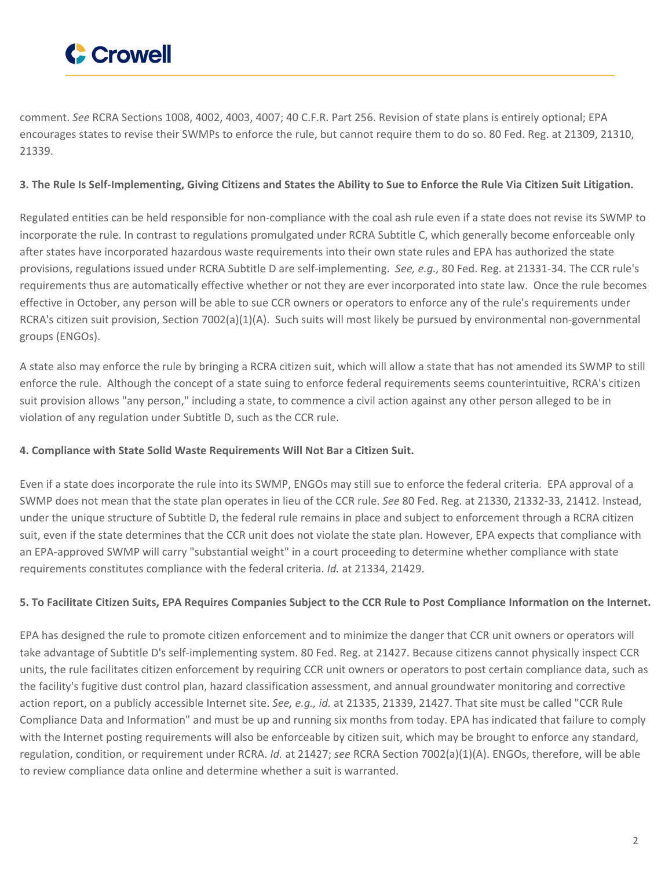

comment. *See* RCRA Sections 1008, 4002, 4003, 4007; 40 C.F.R. Part 256. Revision of state plans is entirely optional; EPA encourages states to revise their SWMPs to enforce the rule, but cannot require them to do so. 80 Fed. Reg. at 21309, 21310, 21339.

#### 3. The Rule Is Self-Implementing, Giving Citizens and States the Ability to Sue to Enforce the Rule Via Citizen Suit Litigation.

Regulated entities can be held responsible for non-compliance with the coal ash rule even if a state does not revise its SWMP to incorporate the rule. In contrast to regulations promulgated under RCRA Subtitle C, which generally become enforceable only after states have incorporated hazardous waste requirements into their own state rules and EPA has authorized the state provisions, regulations issued under RCRA Subtitle D are self-implementing. *See, e.g.,* 80 Fed. Reg. at 21331-34. The CCR rule's requirements thus are automatically effective whether or not they are ever incorporated into state law. Once the rule becomes effective in October, any person will be able to sue CCR owners or operators to enforce any of the rule's requirements under RCRA's citizen suit provision, Section 7002(a)(1)(A). Such suits will most likely be pursued by environmental non-governmental groups (ENGOs).

A state also may enforce the rule by bringing a RCRA citizen suit, which will allow a state that has not amended its SWMP to still enforce the rule. Although the concept of a state suing to enforce federal requirements seems counterintuitive, RCRA's citizen suit provision allows "any person," including a state, to commence a civil action against any other person alleged to be in violation of any regulation under Subtitle D, such as the CCR rule.

#### **4. Compliance with State Solid Waste Requirements Will Not Bar a Citizen Suit.**

Even if a state does incorporate the rule into its SWMP, ENGOs may still sue to enforce the federal criteria. EPA approval of a SWMP does not mean that the state plan operates in lieu of the CCR rule. *See* 80 Fed. Reg. at 21330, 21332-33, 21412. Instead, under the unique structure of Subtitle D, the federal rule remains in place and subject to enforcement through a RCRA citizen suit, even if the state determines that the CCR unit does not violate the state plan. However, EPA expects that compliance with an EPA-approved SWMP will carry "substantial weight" in a court proceeding to determine whether compliance with state requirements constitutes compliance with the federal criteria. *Id.* at 21334, 21429.

#### 5. To Facilitate Citizen Suits, EPA Requires Companies Subject to the CCR Rule to Post Compliance Information on the Internet.

EPA has designed the rule to promote citizen enforcement and to minimize the danger that CCR unit owners or operators will take advantage of Subtitle D's self-implementing system. 80 Fed. Reg. at 21427. Because citizens cannot physically inspect CCR units, the rule facilitates citizen enforcement by requiring CCR unit owners or operators to post certain compliance data, such as the facility's fugitive dust control plan, hazard classification assessment, and annual groundwater monitoring and corrective action report, on a publicly accessible Internet site. *See, e.g., id.* at 21335, 21339, 21427. That site must be called "CCR Rule Compliance Data and Information" and must be up and running six months from today. EPA has indicated that failure to comply with the Internet posting requirements will also be enforceable by citizen suit, which may be brought to enforce any standard, regulation, condition, or requirement under RCRA. *Id.* at 21427; *see* RCRA Section 7002(a)(1)(A). ENGOs, therefore, will be able to review compliance data online and determine whether a suit is warranted.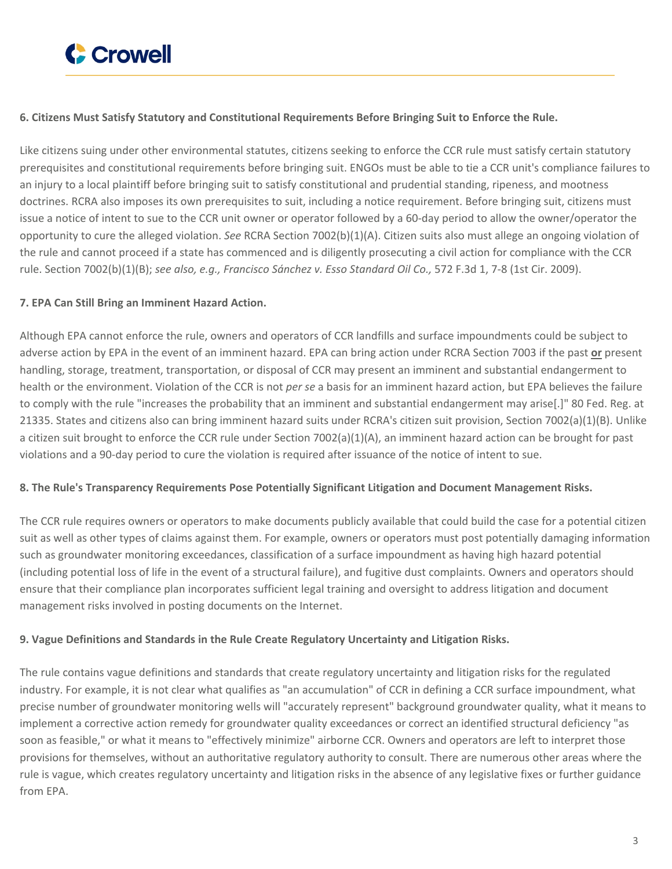

#### **6. Citizens Must Satisfy Statutory and Constitutional Requirements Before Bringing Suit to Enforce the Rule.**

Like citizens suing under other environmental statutes, citizens seeking to enforce the CCR rule must satisfy certain statutory prerequisites and constitutional requirements before bringing suit. ENGOs must be able to tie a CCR unit's compliance failures to an injury to a local plaintiff before bringing suit to satisfy constitutional and prudential standing, ripeness, and mootness doctrines. RCRA also imposes its own prerequisites to suit, including a notice requirement. Before bringing suit, citizens must issue a notice of intent to sue to the CCR unit owner or operator followed by a 60-day period to allow the owner/operator the opportunity to cure the alleged violation. *See* RCRA Section 7002(b)(1)(A). Citizen suits also must allege an ongoing violation of the rule and cannot proceed if a state has commenced and is diligently prosecuting a civil action for compliance with the CCR rule. Section 7002(b)(1)(B); *see also, e.g., Francisco Sánchez v. Esso Standard Oil Co.,* 572 F.3d 1, 7-8 (1st Cir. 2009).

#### **7. EPA Can Still Bring an Imminent Hazard Action.**

Although EPA cannot enforce the rule, owners and operators of CCR landfills and surface impoundments could be subject to adverse action by EPA in the event of an imminent hazard. EPA can bring action under RCRA Section 7003 if the past **or** present handling, storage, treatment, transportation, or disposal of CCR may present an imminent and substantial endangerment to health or the environment. Violation of the CCR is not *per se* a basis for an imminent hazard action, but EPA believes the failure to comply with the rule "increases the probability that an imminent and substantial endangerment may arise[.]" 80 Fed. Reg. at 21335. States and citizens also can bring imminent hazard suits under RCRA's citizen suit provision, Section 7002(a)(1)(B). Unlike a citizen suit brought to enforce the CCR rule under Section 7002(a)(1)(A), an imminent hazard action can be brought for past violations and a 90-day period to cure the violation is required after issuance of the notice of intent to sue.

#### **8. The Rule's Transparency Requirements Pose Potentially Significant Litigation and Document Management Risks.**

The CCR rule requires owners or operators to make documents publicly available that could build the case for a potential citizen suit as well as other types of claims against them. For example, owners or operators must post potentially damaging information such as groundwater monitoring exceedances, classification of a surface impoundment as having high hazard potential (including potential loss of life in the event of a structural failure), and fugitive dust complaints. Owners and operators should ensure that their compliance plan incorporates sufficient legal training and oversight to address litigation and document management risks involved in posting documents on the Internet.

#### **9. Vague Definitions and Standards in the Rule Create Regulatory Uncertainty and Litigation Risks.**

The rule contains vague definitions and standards that create regulatory uncertainty and litigation risks for the regulated industry. For example, it is not clear what qualifies as "an accumulation" of CCR in defining a CCR surface impoundment, what precise number of groundwater monitoring wells will "accurately represent" background groundwater quality, what it means to implement a corrective action remedy for groundwater quality exceedances or correct an identified structural deficiency "as soon as feasible," or what it means to "effectively minimize" airborne CCR. Owners and operators are left to interpret those provisions for themselves, without an authoritative regulatory authority to consult. There are numerous other areas where the rule is vague, which creates regulatory uncertainty and litigation risks in the absence of any legislative fixes or further guidance from EPA.